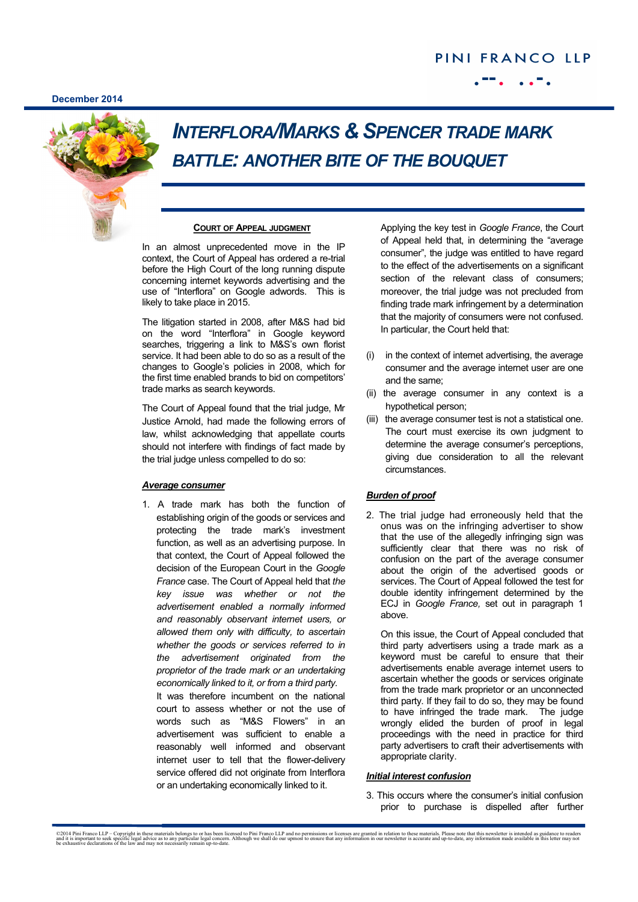**December 2014**

# PINI FRANCO LLP



## *INTERFLORA/MARKS & SPENCER TRADE MARK BATTLE: ANOTHER BITE OF THE BOUQUET*

### **COURT OF APPEAL JUDGMENT**

In an almost unprecedented move in the IP context, the Court of Appeal has ordered a re-trial before the High Court of the long running dispute concerning internet keywords advertising and the use of "Interflora" on Google adwords. This is likely to take place in 2015.

The litigation started in 2008, after M&S had bid on the word "Interflora" in Google keyword searches, triggering a link to M&S's own florist service. It had been able to do so as a result of the changes to Google's policies in 2008, which for the first time enabled brands to bid on competitors' trade marks as search keywords.

The Court of Appeal found that the trial judge, Mr Justice Arnold, had made the following errors of law, whilst acknowledging that appellate courts should not interfere with findings of fact made by the trial judge unless compelled to do so:

### *Average consumer*

1. A trade mark has both the function of establishing origin of the goods or services and protecting the trade mark's investment function, as well as an advertising purpose. In that context, the Court of Appeal followed the decision of the European Court in the *Google France* case. The Court of Appeal held that *the key issue was whether or not the advertisement enabled a normally informed and reasonably observant internet users, or allowed them only with difficulty, to ascertain whether the goods or services referred to in the advertisement originated from the proprietor of the trade mark or an undertaking economically linked to it, or from a third party.* It was therefore incumbent on the national court to assess whether or not the use of words such as "M&S Flowers" in an advertisement was sufficient to enable a reasonably well informed and observant internet user to tell that the flower-delivery service offered did not originate from Interflora or an undertaking economically linked to it.

Applying the key test in *Google France*, the Court of Appeal held that, in determining the "average consumer", the judge was entitled to have regard to the effect of the advertisements on a significant section of the relevant class of consumers; moreover, the trial judge was not precluded from finding trade mark infringement by a determination that the majority of consumers were not confused. In particular, the Court held that:

- (i) in the context of internet advertising, the average consumer and the average internet user are one and the same;
- (ii) the average consumer in any context is a hypothetical person;
- (iii) the average consumer test is not a statistical one. The court must exercise its own judgment to determine the average consumer's perceptions, giving due consideration to all the relevant circumstances.

## *Burden of proof*

2. The trial judge had erroneously held that the onus was on the infringing advertiser to show that the use of the allegedly infringing sign was sufficiently clear that there was no risk of confusion on the part of the average consumer about the origin of the advertised goods or services. The Court of Appeal followed the test for double identity infringement determined by the ECJ in *Google France,* set out in paragraph 1 above.

On this issue, the Court of Appeal concluded that third party advertisers using a trade mark as a keyword must be careful to ensure that their advertisements enable average internet users to ascertain whether the goods or services originate from the trade mark proprietor or an unconnected third party. If they fail to do so, they may be found to have infringed the trade mark. The judge wrongly elided the burden of proof in legal proceedings with the need in practice for third party advertisers to craft their advertisements with appropriate clarity.

#### *Initial interest confusion*

3. This occurs where the consumer's initial confusion prior to purchase is dispelled after further

<sup>©2014</sup> Pini Franco LLP – Copyright in these materials belongs to or has been licensed to Pini Franco LLP and no permissions or licenses are granted in relation to these materials. Please note that this newsletter is intende